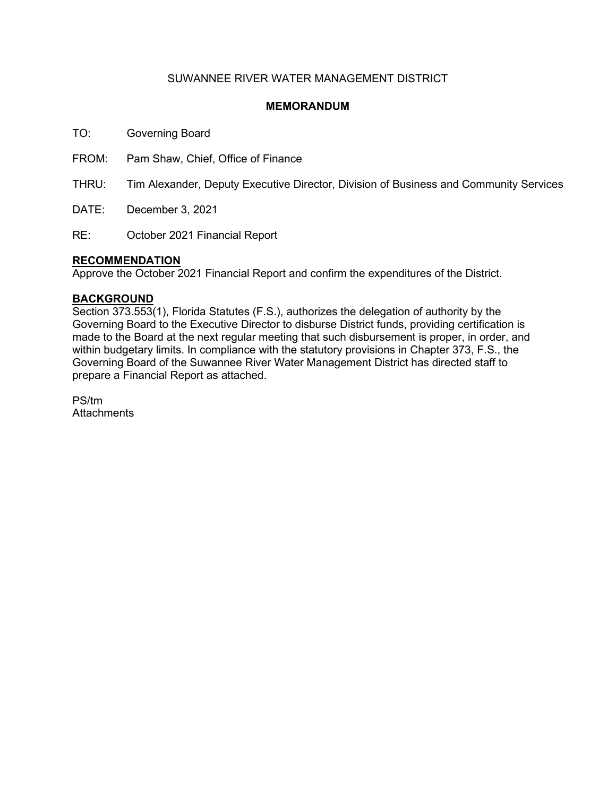## SUWANNEE RIVER WATER MANAGEMENT DISTRICT

## **MEMORANDUM**

TO: Governing Board

FROM: Pam Shaw, Chief, Office of Finance

THRU: Tim Alexander, Deputy Executive Director, Division of Business and Community Services

DATE: December 3, 2021

RE: October 2021 Financial Report

### **RECOMMENDATION**

Approve the October 2021 Financial Report and confirm the expenditures of the District.

#### **BACKGROUND**

Section 373.553(1), Florida Statutes (F.S.), authorizes the delegation of authority by the Governing Board to the Executive Director to disburse District funds, providing certification is made to the Board at the next regular meeting that such disbursement is proper, in order, and within budgetary limits. In compliance with the statutory provisions in Chapter 373, F.S., the Governing Board of the Suwannee River Water Management District has directed staff to prepare a Financial Report as attached.

PS/tm **Attachments**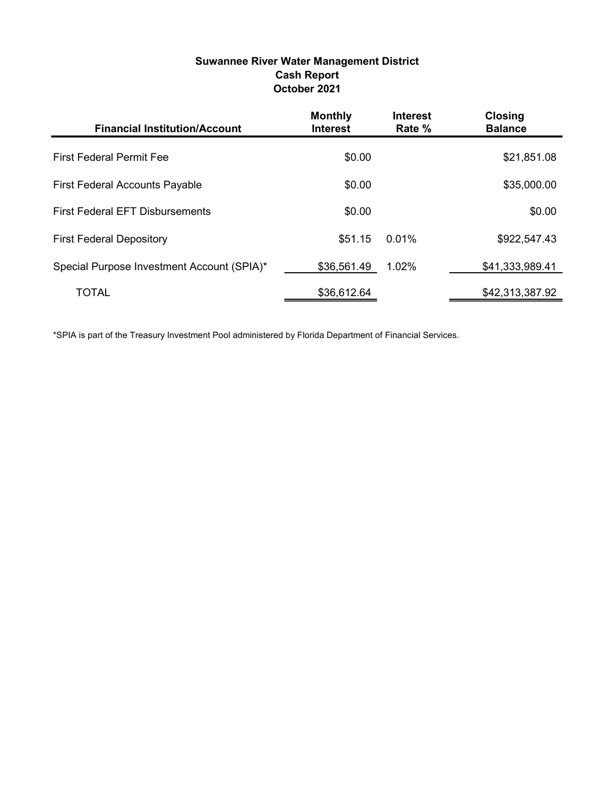## Suwannee River Water Management District Cash Report October 2021

| <b>Financial Institution/Account</b>       | <b>Monthly</b><br><b>Interest</b> | <b>Interest</b><br>Rate % | <b>Closing</b><br><b>Balance</b> |
|--------------------------------------------|-----------------------------------|---------------------------|----------------------------------|
| <b>First Federal Permit Fee</b>            | \$0.00                            |                           | \$21,851.08                      |
| <b>First Federal Accounts Payable</b>      | \$0.00                            |                           | \$35,000.00                      |
| <b>First Federal EFT Disbursements</b>     | \$0.00                            |                           | \$0.00                           |
| <b>First Federal Depository</b>            | \$51.15                           | 0.01%                     | \$922,547.43                     |
| Special Purpose Investment Account (SPIA)* | \$36,561.49                       | 1.02%                     | \$41,333,989.41                  |
| <b>TOTAL</b>                               | \$36,612.64                       |                           | \$42,313,387.92                  |

\*SPIA is part of the Treasury Investment Pool administered by Florida Department of Financial Services.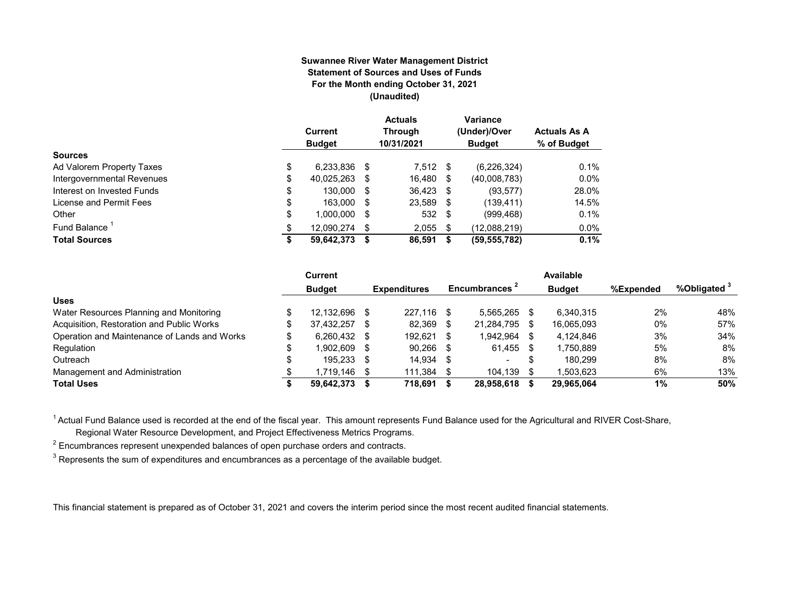#### **Suwannee River Water Management District Statement of Sources and Uses of Funds For the Month ending October 31, 2021 (Unaudited)**

|                            | Current<br><b>Budget</b> |      | <b>Actuals</b><br><b>Through</b><br>10/31/2021 |    | Variance<br>(Under)/Over<br><b>Budget</b> | <b>Actuals As A</b><br>% of Budget |
|----------------------------|--------------------------|------|------------------------------------------------|----|-------------------------------------------|------------------------------------|
| <b>Sources</b>             |                          |      |                                                |    |                                           |                                    |
| Ad Valorem Property Taxes  | \$<br>6,233,836          | S    | $7,512$ \$                                     |    | (6, 226, 324)                             | 0.1%                               |
| Intergovernmental Revenues | \$<br>40,025,263         | S    | 16,480                                         | \$ | (40,008,783)                              | 0.0%                               |
| Interest on Invested Funds | \$<br>130.000            | - \$ | 36.423 \$                                      |    | (93, 577)                                 | 28.0%                              |
| License and Permit Fees    | \$<br>163.000            | - \$ | 23,589 \$                                      |    | (139, 411)                                | 14.5%                              |
| Other                      | \$<br>1.000.000          | S    | 532 \$                                         |    | (999, 468)                                | 0.1%                               |
| Fund Balance               | \$<br>12.090.274         | S    | 2,055                                          | \$ | (12,088,219)                              | 0.0%                               |
| <b>Total Sources</b>       | \$<br>59,642,373         |      | 86,591                                         | S  | (59, 555, 782)                            | 0.1%                               |

|                                              |    | Current       |      |                     |      |                           |     | Available     |           |                         |
|----------------------------------------------|----|---------------|------|---------------------|------|---------------------------|-----|---------------|-----------|-------------------------|
|                                              |    | <b>Budget</b> |      | <b>Expenditures</b> |      | Encumbrances <sup>2</sup> |     | <b>Budget</b> | %Expended | %Obligated <sup>3</sup> |
| <b>Uses</b>                                  |    |               |      |                     |      |                           |     |               |           |                         |
| Water Resources Planning and Monitoring      |    | 12.132.696    | - \$ | 227.116             | - \$ | 5.565.265                 |     | 6.340.315     | 2%        | 48%                     |
| Acquisition, Restoration and Public Works    | \$ | 37.432.257    | - \$ | 82.369              | S    | 21,284,795                | -SS | 16.065.093    | 0%        | 57%                     |
| Operation and Maintenance of Lands and Works |    | 6.260.432 \$  |      | 192.621             |      | 1.942.964                 |     | 4.124.846     | 3%        | 34%                     |
| Regulation                                   | ¢  | 902.609.      | - \$ | 90,266              | -S   | 61,455                    |     | 1,750,889     | 5%        | 8%                      |
| Outreach                                     |    | 195,233 \$    |      | 14.934              | - \$ | $\overline{\phantom{a}}$  |     | 180.299       | 8%        | 8%                      |
| Management and Administration                |    | l.719.146     | - \$ | 111,384             |      | 104,139                   |     | .503.623      | 6%        | 13%                     |
| <b>Total Uses</b>                            |    | 59,642,373    |      | 718.691             |      | 28,958,618                |     | 29,965,064    | 1%        | 50%                     |

<sup>1</sup> Actual Fund Balance used is recorded at the end of the fiscal year. This amount represents Fund Balance used for the Agricultural and RIVER Cost-Share,

Regional Water Resource Development, and Project Effectiveness Metrics Programs.

 $^{\text{2}}$  Encumbrances represent unexpended balances of open purchase orders and contracts.

 $^3$  Represents the sum of expenditures and encumbrances as a percentage of the available budget.

This financial statement is prepared as of October 31, 2021 and covers the interim period since the most recent audited financial statements.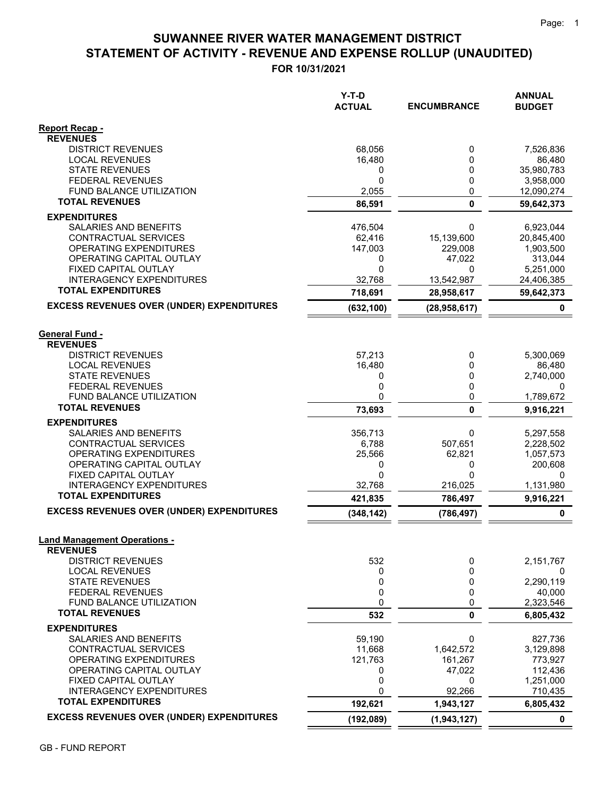# **STATEMENT OF ACTIVITY - REVENUE AND EXPENSE ROLLUP (UNAUDITED) SUWANNEE RIVER WATER MANAGEMENT DISTRICT**

**FOR 10/31/2021**

|                                                              | Y-T-D<br><b>ACTUAL</b> | <b>ENCUMBRANCE</b> | <b>ANNUAL</b><br><b>BUDGET</b> |
|--------------------------------------------------------------|------------------------|--------------------|--------------------------------|
| <b>Report Recap -</b><br><b>REVENUES</b>                     |                        |                    |                                |
| <b>DISTRICT REVENUES</b>                                     | 68,056                 | 0                  | 7,526,836                      |
| <b>LOCAL REVENUES</b>                                        | 16,480                 | 0                  | 86,480                         |
| <b>STATE REVENUES</b><br><b>FEDERAL REVENUES</b>             | 0<br>$\mathbf 0$       | 0<br>0             | 35,980,783<br>3,958,000        |
| FUND BALANCE UTILIZATION                                     | 2,055                  | 0                  | 12,090,274                     |
| <b>TOTAL REVENUES</b>                                        | 86,591                 | $\mathbf{0}$       | 59,642,373                     |
| <b>EXPENDITURES</b>                                          |                        |                    |                                |
| SALARIES AND BENEFITS                                        | 476,504                | 0                  | 6,923,044                      |
| CONTRACTUAL SERVICES                                         | 62,416                 | 15,139,600         | 20,845,400                     |
| <b>OPERATING EXPENDITURES</b>                                | 147,003                | 229,008            | 1,903,500                      |
| OPERATING CAPITAL OUTLAY                                     | 0                      | 47,022             | 313,044                        |
| FIXED CAPITAL OUTLAY                                         | $\mathbf{0}$           | 0                  | 5,251,000                      |
| <b>INTERAGENCY EXPENDITURES</b><br><b>TOTAL EXPENDITURES</b> | 32,768                 | 13,542,987         | 24,406,385                     |
|                                                              | 718,691                | 28,958,617         | 59,642,373                     |
| <b>EXCESS REVENUES OVER (UNDER) EXPENDITURES</b>             | (632, 100)             | (28, 958, 617)     | 0                              |
| <b>General Fund -</b><br><b>REVENUES</b>                     |                        |                    |                                |
| <b>DISTRICT REVENUES</b>                                     | 57,213                 | 0                  | 5,300,069                      |
| <b>LOCAL REVENUES</b>                                        | 16,480                 | 0                  | 86,480                         |
| <b>STATE REVENUES</b>                                        | 0                      | 0                  | 2,740,000                      |
| <b>FEDERAL REVENUES</b>                                      | 0                      | 0                  | 0                              |
| <b>FUND BALANCE UTILIZATION</b><br><b>TOTAL REVENUES</b>     | 0                      | 0                  | 1,789,672                      |
|                                                              | 73,693                 | 0                  | 9,916,221                      |
| <b>EXPENDITURES</b><br>SALARIES AND BENEFITS                 | 356,713                | 0                  | 5,297,558                      |
| CONTRACTUAL SERVICES                                         | 6,788                  | 507,651            | 2,228,502                      |
| <b>OPERATING EXPENDITURES</b>                                | 25,566                 | 62,821             | 1,057,573                      |
| OPERATING CAPITAL OUTLAY                                     | 0                      | 0                  | 200,608                        |
| FIXED CAPITAL OUTLAY                                         | $\mathbf{0}$           | 0                  | 0                              |
| <b>INTERAGENCY EXPENDITURES</b><br><b>TOTAL EXPENDITURES</b> | 32.768                 | 216,025            | 1,131,980                      |
| <b>EXCESS REVENUES OVER (UNDER) EXPENDITURES</b>             | 421,835                | 786,497            | 9,916,221                      |
|                                                              | (348, 142)             | (786, 497)         | 0                              |
| <b>Land Management Operations -</b><br><b>REVENUES</b>       |                        |                    |                                |
| <b>DISTRICT REVENUES</b>                                     | 532                    | 0                  | 2,151,767                      |
| <b>LOCAL REVENUES</b>                                        | 0                      | 0                  | 0                              |
| <b>STATE REVENUES</b>                                        | 0                      | 0                  | 2,290,119                      |
| <b>FEDERAL REVENUES</b><br>FUND BALANCE UTILIZATION          | 0<br>0                 | 0<br>0             | 40,000<br>2,323,546            |
| <b>TOTAL REVENUES</b>                                        | 532                    | 0                  | 6,805,432                      |
| <b>EXPENDITURES</b>                                          |                        |                    |                                |
| SALARIES AND BENEFITS                                        | 59,190                 | 0                  | 827,736                        |
| CONTRACTUAL SERVICES                                         | 11,668                 | 1,642,572          | 3,129,898                      |
| OPERATING EXPENDITURES                                       | 121,763                | 161,267            | 773,927                        |
| OPERATING CAPITAL OUTLAY<br>FIXED CAPITAL OUTLAY             | 0<br>0                 | 47,022<br>0        | 112,436<br>1,251,000           |
| <b>INTERAGENCY EXPENDITURES</b>                              | 0                      | 92,266             | 710,435                        |
| <b>TOTAL EXPENDITURES</b>                                    | 192,621                | 1,943,127          | 6,805,432                      |
| <b>EXCESS REVENUES OVER (UNDER) EXPENDITURES</b>             | (192, 089)             | (1,943,127)        | $\mathbf 0$                    |